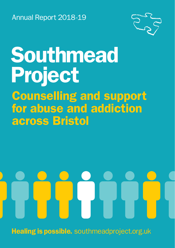Annual Report 2018-19



## Southmead Project Counselling and support for abuse and addiction across Bristol

Healing is possible. southmeadproject.org.uk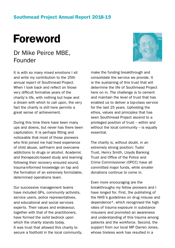#### Southmead Project Annual Report 2018-19

### Foreword

#### Dr Mike Peirce MBE, Founder

It is with so many mixed emotions I sit and write my contribution to the 25th annual report of Southmead Project. When I look back and reflect on those very difficult formative years of the charity's life, with nothing but hope and a dream with which to call upon, the very fact the charity is still here permits a great sense of achievement.

During this time there have been many ups and downs, but never has there been capitulation. It is perhaps fitting and noticeable that most of those pioneers who first joined me had lived experience of child abuse, self-harm and overcame addictions to drugs or alcohol. Academic and therapeutic-based study and learning following their recovery ensured sound, trauma-informed knowledge on tap and the formation of an extremely formidable, determined operations team.

Our successive management teams have included GPs, community activists, service users, police representatives, and educational and social services experts. Their values and endeavour, together with that of the practitioners, have formed the solid bedrock upon which the charity stands today. It was trust that allowed this charity to secure a foothold in the local community,

make the funding breakthrough and consolidate the service we provide. It is the sustaining of this trust that will determine the life of Southmead Project here on in. The challenge is to cement and maintain the level of trust that has enabled us to deliver a top-class service for the last 25 years. Upholding the ethos, values and principles that has seen Southmead Project ascend to a privileged position of trust – within and without the local community  $-$  is equally essential.

The charity is, without doubt, in an extremely strong position: Tudor Trust, Henry Smith, Lloyds Banking Trust and Office of the Police and Crime Commissioner (OPCC) have all committed major funds, while smaller donations continue to come in.

Even more encouraging are the breakthroughs my fellow pioneers and I have longed for. First, the publishing of the NHS's guidelines on drug misuse and dependence\*, which recognised the high rates of trauma exposure in substance misusers and promoted an awareness and understanding of this trauma among patients and the workforce. Second, the support from our local MP Darren Jones, whose tireless work has resulted in a

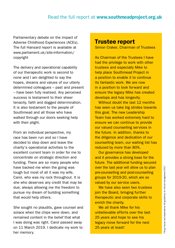#### Read the full report at www.southmeadproject.org.uk

Parliamentary debate on the impact of Adverse Childhood Experiences (ACEs). The full Hansard report is available at www.parliament.uk/site-information/ copyright

The delivery and operational capability of our therapeutic work is second to none and I am delighted to say the hopes, dreams and values of our utterly determined colleagues – past and present – have been fully realised. Any perceived success is testament to their sheer tenacity, faith and dogged determination. It is also testament to the people of Southmead and all those who have walked through our doors seeking help with their plight.

From an individual perspective, my race has been run and so I have decided to step down and leave the charity's operational activities to the excellent current team in order for me to concentrate on strategic direction and funding. There are so many people who have backed me when the going was tough but most of all it was my wife, Carol, who was my rock throughout. It is she who deserves any credit that may be due; always allowing me the freedom to pursue my dream of building something that would help others.

She sought no plaudits, gave counsel and solace when the chips were down, and remained content in the belief that what I was doing was right. Carol passed away on 11 March 2019. I dedicate my work to her memory.

#### Trustee report

Simon Craker, Chairman of Trustees

As Chairman of the Trustees I have had the privilege to work with other trustees and especially Mike to help place Southmead Project in a position to enable it to continue its fantastic work. We are now in a position to look forward and ensure the legacy Mike has created develops and has longevity.

Without doubt the last 12 months has seen us take big strides towards this goal. The new Leadership Team has worked extremely hard to ensure we can continue to provide our valued counselling services in the future. In addition, thanks to the diligence and dedication of our counselling team, our waiting list has reduced by more than 80%.

Our governance has developed and it provides a strong base for the future. The additional funding secured over the last year will allow us to plan pre-counselling and post-counselling groups for 2019-20, which are so valued by our service users.

We have also seen two trustees join the Board, bringing further therapeutic and corporate skills to enrich the charity.

We all thank Mike for his unbelievable efforts over the last 25 years and hope to see his legacy move forward for the next 25 years at least!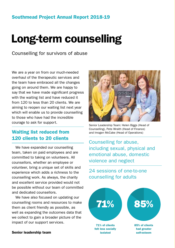## Long-term counselling

Counselling for survivors of abuse

We are a year on from our much-needed overhaul of the therapeutic services and the team have embraced all the changes going on around them. We are happy to say that we have made significant progress with the waiting list and have reduced it from 120 to less than 20 clients. We are aiming to reopen our waiting list next year which will enable us to provide counselling to those who have had the incredible courage to ask for support.

#### Waiting list reduced from 120 clients to 20 clients

We have expanded our counselling team, taken on paid employees and are committed to taking on volunteers. All counsellors, whether an employee or volunteer, bring a unique set of skills and experience which adds a richness to the counselling work. As always, the charity and excellent service provided would not be possible without our team of committed and dedicated counsellors.

We have also focused on updating our counselling rooms and resources to make them as client friendly as possible, as well as expanding the outcomes data that we collect to gain a broader picture of the impact of our support services.





Senior Leadership Team: Helen Biggs (Head of Counselling), Pete Wraith (Head of Finance) and Imogen McCabe (Head of Operations)

Counselling for abuse, including sexual, physical and emotional abuse, domestic violence and neglect

24 sessions of one-to-one counselling for adults

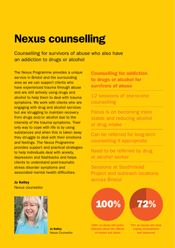### Nexus counselling

Counselling for survivors of abuse who also have an addiction to drugs or alcohol

The Nexus Programme provides a unique service in Bristol and the surrounding area as we can support clients who have experienced trauma through abuse and are still actively using drugs and alcohol to help them to deal with trauma symptoms. We work with clients who are engaging with drug and alcohol services but are struggling to maintain recovery from drugs and/or alcohol due to the intensity of the trauma symptoms. Their only way to cope with life is by using substances and when this is taken away they struggle to deal with their emotions and feelings. The Nexus Programme provides support and practical strategies to help individuals deal with anxiety, depression and flashbacks and helps clients to understand post-traumatic stress disorder symptoms and associated mental health difficulties.

Jo Kelley Nexus counsellor



Jo Kelley Nexus Counsellor

Counselling for addiction to drugs or alcohol for survivors of abuse

12 sessions of one-to-one counselling

Focus is on becoming more stable and reducing alcohol or drug intake

Can be referred for long-term counselling if appropriate

Need to be referred by drug or alcohol worker

Sessions at Southmead Project and outreach locations across Bristol

# 100% 72%

100% of clients felt better informed about the effects of trauma and abuse

72% of clients felt their coping mechanisms had improved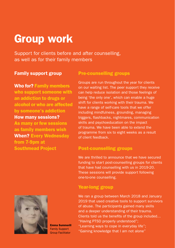### Group work

Support for clients before and after counselling, as well as for their family members

#### Family support group

Who for? Family members who support someone with an addiction to drugs or alcohol or who are affected by someone's addiction How many sessions?

As many or few sessions as family members wish When? Every Wednesday from 7-9pm at Southmead Project



Emma Summerill Family Support Group Facilitator

#### Pre-counselling groups

Groups are run throughout the year for clients on our waiting list. The peer support they receive can help reduce isolation and those feelings of being 'the only one', which can enable a huge shift for clients working with their trauma. We have a range of self-care tools that we offer including mindfulness, grounding, managing triggers, flashbacks, nightmares, communication skills and psychoeducation on the impact of trauma. We have been able to extend the programme from six to eight weeks as a result of client feedback.

#### Post-counselling groups

We are thrilled to announce that we have secured funding to start post-counselling groups for clients that have had counselling with us in 2019-20. These sessions will provide support following one-to-one counselling.

#### Year-long group

We ran a group between March 2018 and January 2019 that used creative tools to support survivors of abuse. The participants gained many skills and a deeper understanding of their trauma. Clients told us the benefits of the group included… "Having PTSD properly understood";

- "Learning ways to cope in everyday life";
- "Gaining knowledge that I am not alone"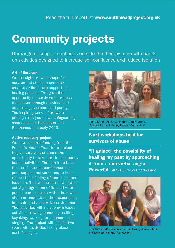### Community projects

Our range of support continues outside the therapy room with handson activities designed to increase self-confidence and reduce isolation

#### Art of Survivors

We ran eight art workshops for survivors of abuse to use their creative skills to help support their healing process. This gave the opportunity for survivors to express themselves through activities such as painting, sculpture and poetry. The inspiring works of art were proudly displayed at two safeguarding conferences in Dorchester and Bournemouth in early 2019.

#### Active recovery project

We have secured funding from the People's Health Trust for a project to give survivors of abuse the opportunity to take part in communitybased activities. The aim is to build their self-esteem, confidence and peer support networks and to help reduce their feeling of loneliness and isolation. This will be the first physical activity programme of its kind where people can socialise with others who share or understand their experience in a safe and supportive environment. The activities will include gym-based activities, rowing, canoeing, sailing, kayaking, walking, art, dance and singing. The project will last for two years with activities taking place each fortnight.



Claire Smith (Admin Assistant), Tracy Brooks (Counsellor) and Hayley Davies (Counsellor)

#### 8 art workshops held for survivors of abuse

"[I gained] the possibility of healing my past by approaching it from a non-verbal angle. **Powerful"** Art of Survivors participant



Nick Tuftnell (Counsellor), Sophie Bayley (Counsellor) and Kate Carruthers (Counsellor)